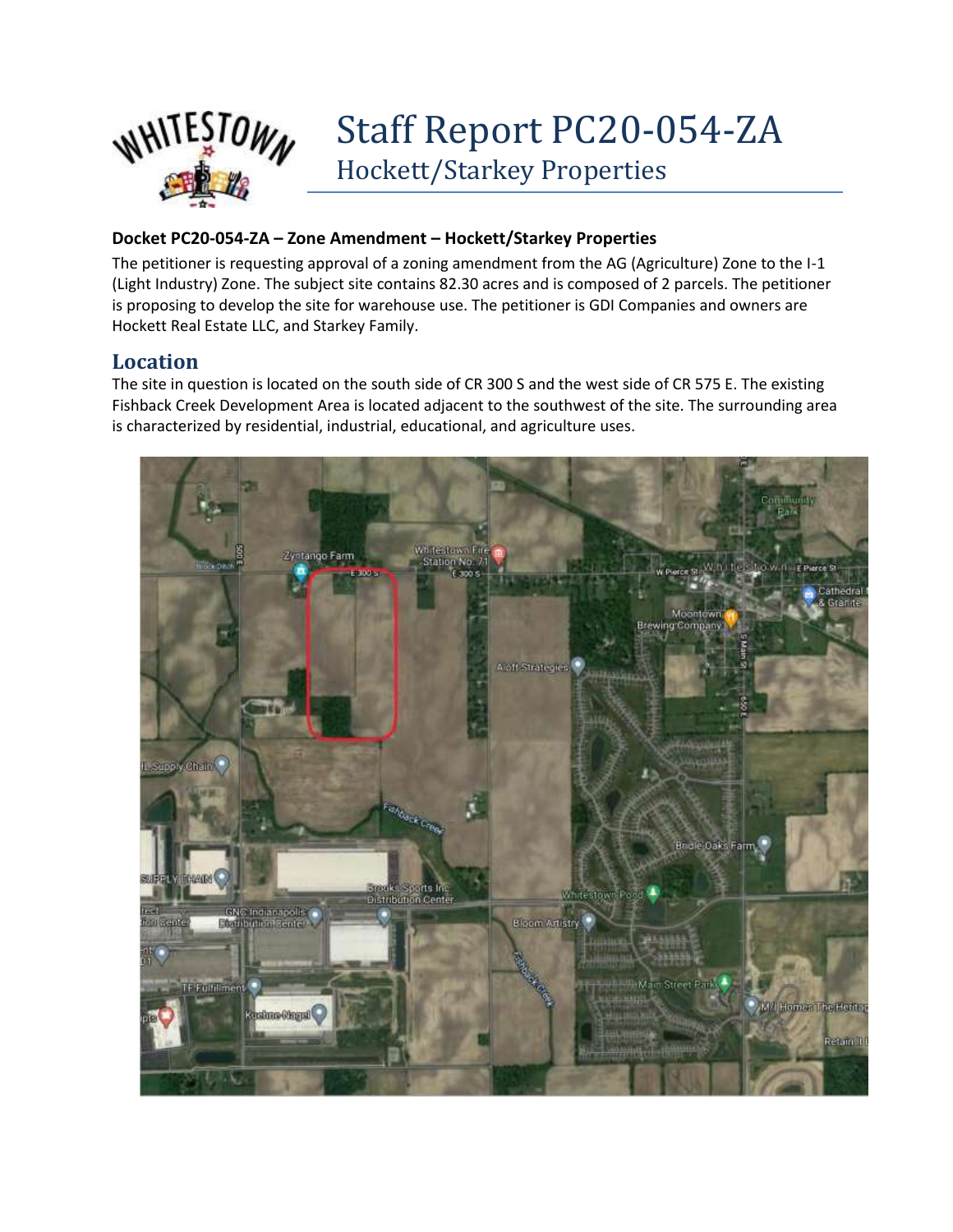

# Staff Report PC20-054-ZA Hockett/Starkey Properties

#### **Docket PC20-054-ZA – Zone Amendment – Hockett/Starkey Properties**

The petitioner is requesting approval of a zoning amendment from the AG (Agriculture) Zone to the I-1 (Light Industry) Zone. The subject site contains 82.30 acres and is composed of 2 parcels. The petitioner is proposing to develop the site for warehouse use. The petitioner is GDI Companies and owners are Hockett Real Estate LLC, and Starkey Family.

### **Location**

The site in question is located on the south side of CR 300 S and the west side of CR 575 E. The existing Fishback Creek Development Area is located adjacent to the southwest of the site. The surrounding area is characterized by residential, industrial, educational, and agriculture uses.

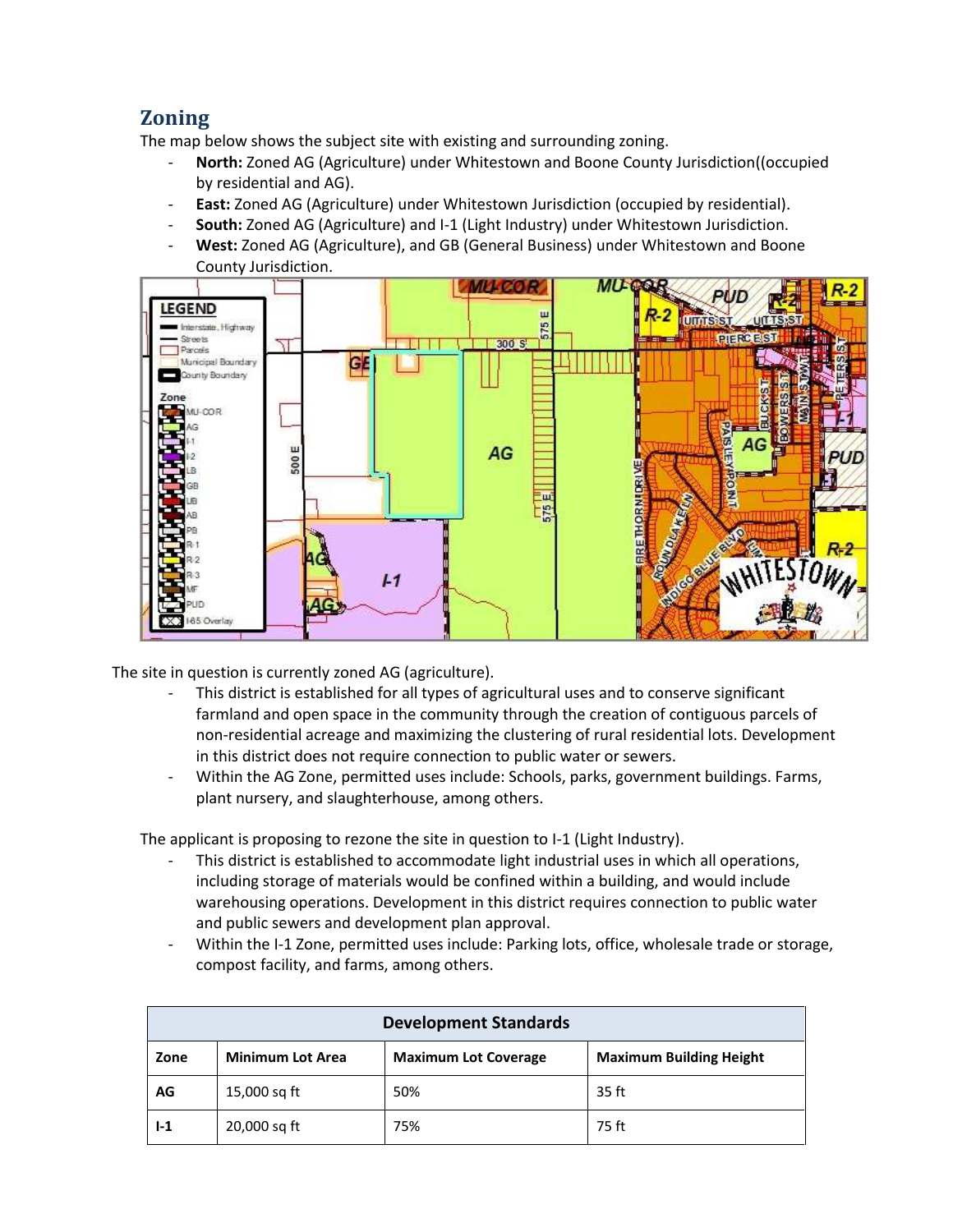## **Zoning**

The map below shows the subject site with existing and surrounding zoning.

- North: Zoned AG (Agriculture) under Whitestown and Boone County Jurisdiction((occupied by residential and AG).
- **East:** Zoned AG (Agriculture) under Whitestown Jurisdiction (occupied by residential).
- **South:** Zoned AG (Agriculture) and I-1 (Light Industry) under Whitestown Jurisdiction.
- **West:** Zoned AG (Agriculture), and GB (General Business) under Whitestown and Boone County Jurisdiction.



The site in question is currently zoned AG (agriculture).

- This district is established for all types of agricultural uses and to conserve significant farmland and open space in the community through the creation of contiguous parcels of non-residential acreage and maximizing the clustering of rural residential lots. Development in this district does not require connection to public water or sewers.
- Within the AG Zone, permitted uses include: Schools, parks, government buildings. Farms, plant nursery, and slaughterhouse, among others.

The applicant is proposing to rezone the site in question to I-1 (Light Industry).

- This district is established to accommodate light industrial uses in which all operations, including storage of materials would be confined within a building, and would include warehousing operations. Development in this district requires connection to public water and public sewers and development plan approval.
- Within the I-1 Zone, permitted uses include: Parking lots, office, wholesale trade or storage, compost facility, and farms, among others.

| <b>Development Standards</b> |                         |                             |                                |
|------------------------------|-------------------------|-----------------------------|--------------------------------|
| Zone                         | <b>Minimum Lot Area</b> | <b>Maximum Lot Coverage</b> | <b>Maximum Building Height</b> |
| AG                           | 15,000 sq ft            | 50%                         | 35 ft                          |
| $1-1$                        | 20,000 sq ft            | 75%                         | 75 ft                          |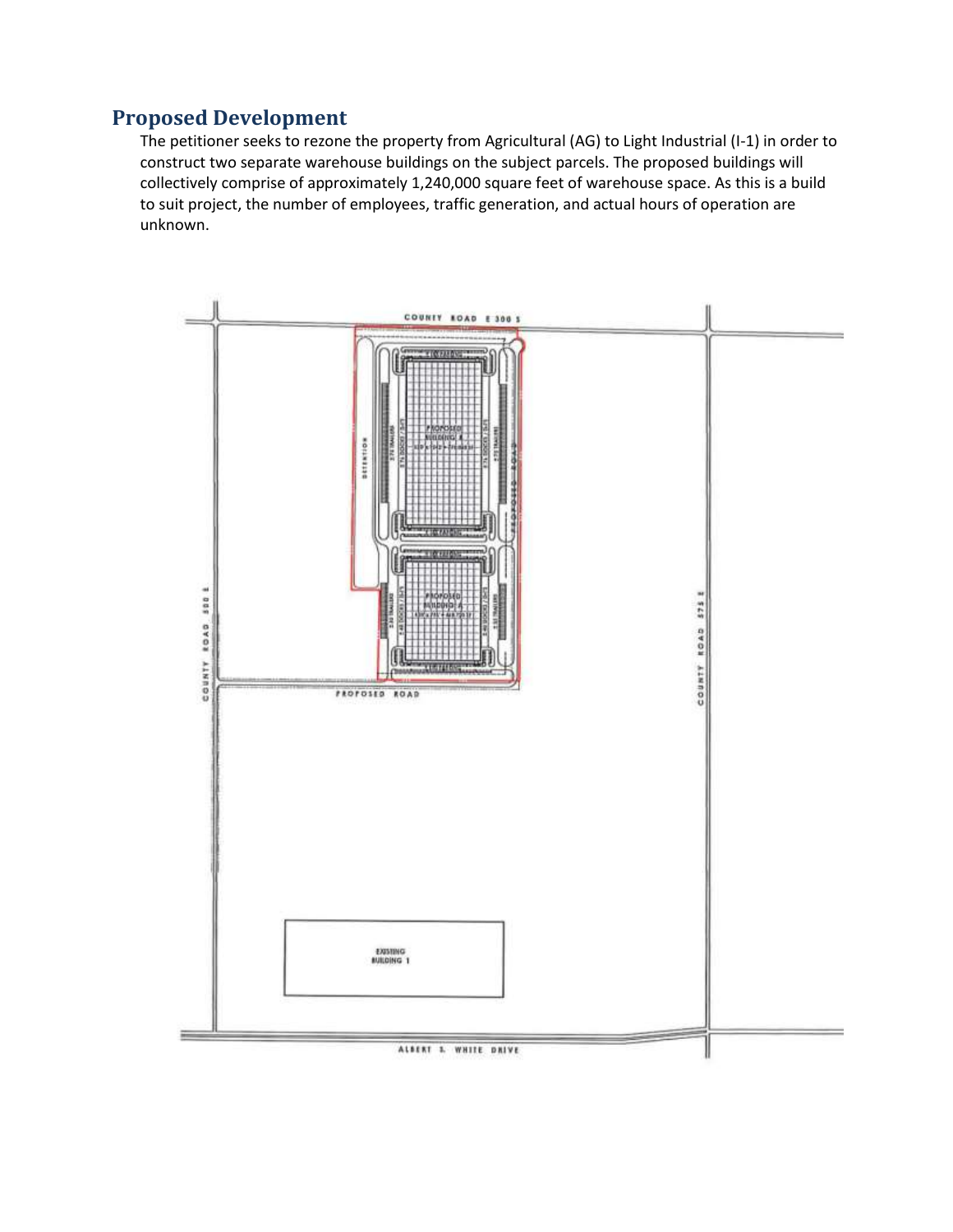## **Proposed Development**

The petitioner seeks to rezone the property from Agricultural (AG) to Light Industrial (I-1) in order to construct two separate warehouse buildings on the subject parcels. The proposed buildings will collectively comprise of approximately 1,240,000 square feet of warehouse space. As this is a build to suit project, the number of employees, traffic generation, and actual hours of operation are unknown.

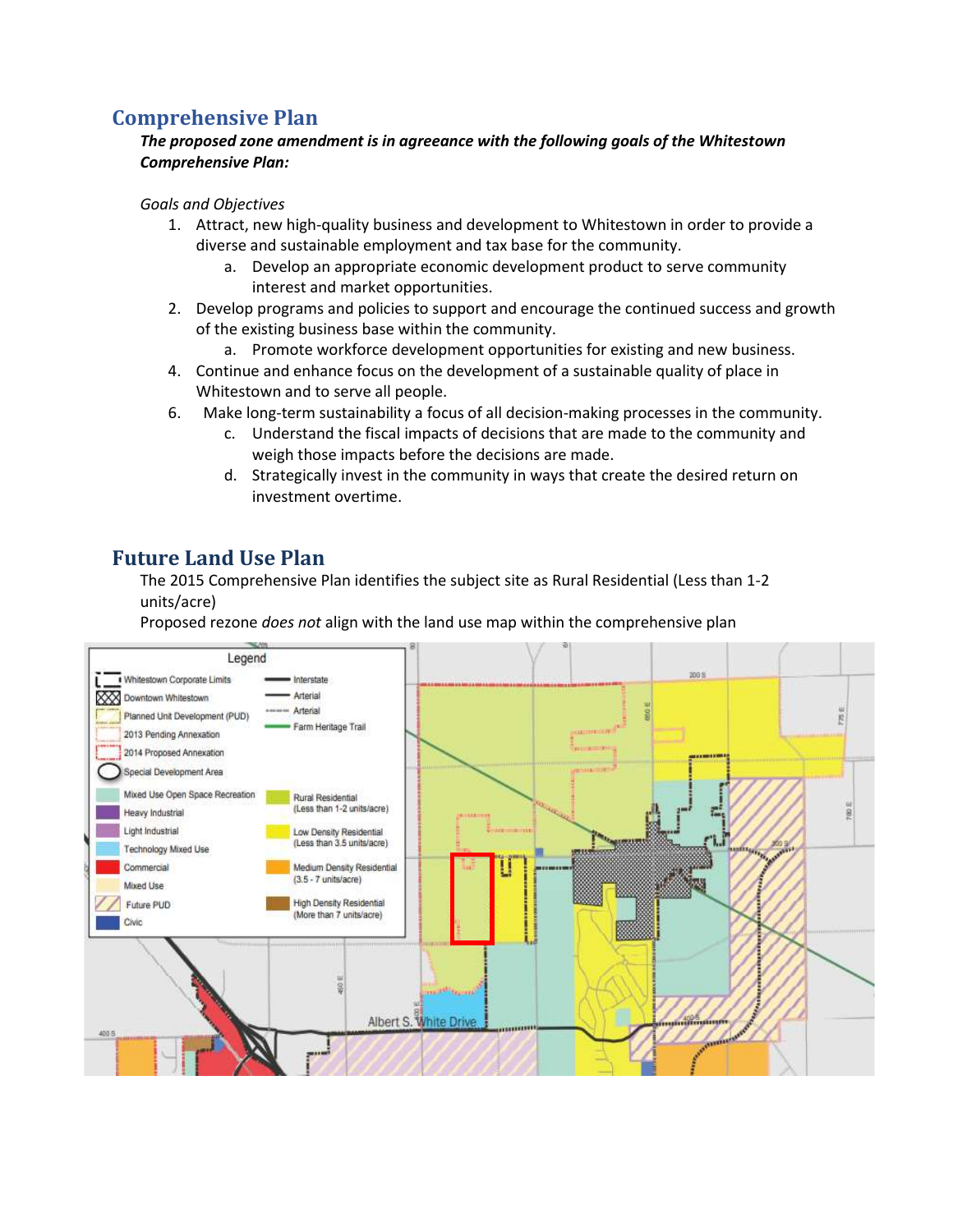## **Comprehensive Plan**

#### *The proposed zone amendment is in agreeance with the following goals of the Whitestown Comprehensive Plan:*

#### *Goals and Objectives*

- 1. Attract, new high-quality business and development to Whitestown in order to provide a diverse and sustainable employment and tax base for the community.
	- a. Develop an appropriate economic development product to serve community interest and market opportunities.
- 2. Develop programs and policies to support and encourage the continued success and growth of the existing business base within the community.
	- a. Promote workforce development opportunities for existing and new business.
- 4. Continue and enhance focus on the development of a sustainable quality of place in Whitestown and to serve all people.
- 6. Make long-term sustainability a focus of all decision-making processes in the community.
	- c. Understand the fiscal impacts of decisions that are made to the community and weigh those impacts before the decisions are made.
	- d. Strategically invest in the community in ways that create the desired return on investment overtime.

## **Future Land Use Plan**

The 2015 Comprehensive Plan identifies the subject site as Rural Residential (Less than 1-2 units/acre)

Proposed rezone *does not* align with the land use map within the comprehensive plan